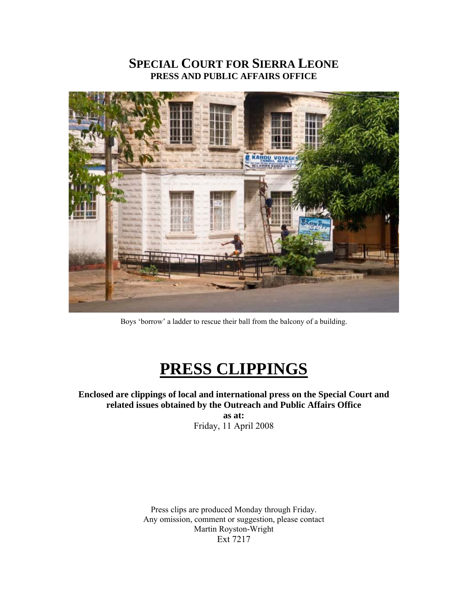## **SPECIAL COURT FOR SIERRA LEONE PRESS AND PUBLIC AFFAIRS OFFICE**



Boys 'borrow' a ladder to rescue their ball from the balcony of a building.

# **PRESS CLIPPINGS**

**Enclosed are clippings of local and international press on the Special Court and related issues obtained by the Outreach and Public Affairs Office** 

**as at:**  Friday, 11 April 2008

Press clips are produced Monday through Friday. Any omission, comment or suggestion, please contact Martin Royston-Wright Ext 7217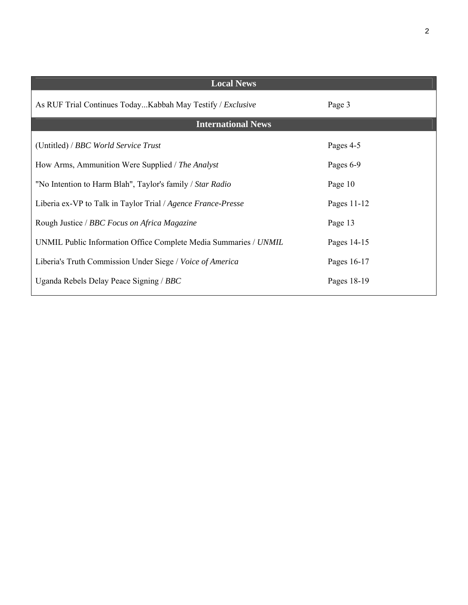| <b>Local News</b>                                                |             |
|------------------------------------------------------------------|-------------|
| As RUF Trial Continues TodayKabbah May Testify / Exclusive       | Page 3      |
| <b>International News</b>                                        |             |
| (Untitled) / BBC World Service Trust                             | Pages 4-5   |
| How Arms, Ammunition Were Supplied / The Analyst                 | Pages 6-9   |
| "No Intention to Harm Blah", Taylor's family / Star Radio        | Page 10     |
| Liberia ex-VP to Talk in Taylor Trial / Agence France-Presse     | Pages 11-12 |
| Rough Justice / BBC Focus on Africa Magazine                     | Page 13     |
| UNMIL Public Information Office Complete Media Summaries / UNMIL | Pages 14-15 |
| Liberia's Truth Commission Under Siege / Voice of America        | Pages 16-17 |
| Uganda Rebels Delay Peace Signing / BBC                          | Pages 18-19 |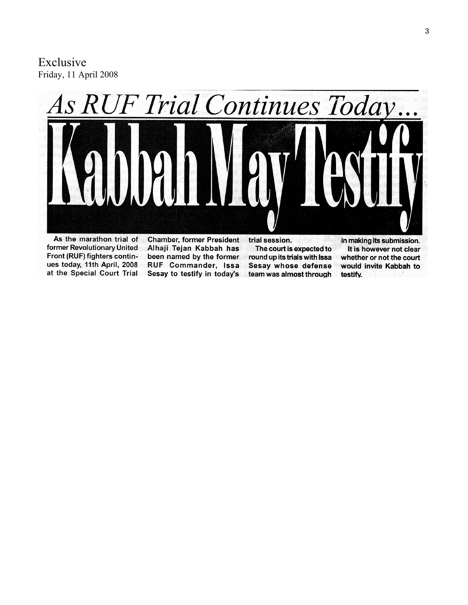Exclusive Friday, 11 April 2008



As the marathon trial of former Revolutionary United Front (RUF) fighters continues today, 11th April, 2008 at the Special Court Trial

**Chamber, former President** Alhaji Tejan Kabbah has been named by the former RUF Commander, Issa Sesay to testify in today's

trial session. The court is expected to round up its trials with Issa Sesay whose defense team was almost through in making its submission. It is however not clear whether or not the court would invite Kabbah to testify.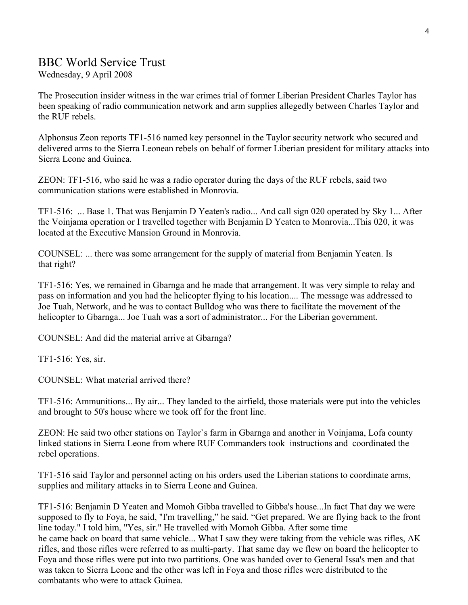## BBC World Service Trust

Wednesday, 9 April 2008

The Prosecution insider witness in the war crimes trial of former Liberian President Charles Taylor has been speaking of radio communication network and arm supplies allegedly between Charles Taylor and the RUF rebels.

Alphonsus Zeon reports TF1-516 named key personnel in the Taylor security network who secured and delivered arms to the Sierra Leonean rebels on behalf of former Liberian president for military attacks into Sierra Leone and Guinea.

ZEON: TF1-516, who said he was a radio operator during the days of the RUF rebels, said two communication stations were established in Monrovia.

TF1-516: ... Base 1. That was Benjamin D Yeaten's radio... And call sign 020 operated by Sky 1... After the Voinjama operation or I travelled together with Benjamin D Yeaten to Monrovia...This 020, it was located at the Executive Mansion Ground in Monrovia.

COUNSEL: ... there was some arrangement for the supply of material from Benjamin Yeaten. Is that right?

TF1-516: Yes, we remained in Gbarnga and he made that arrangement. It was very simple to relay and pass on information and you had the helicopter flying to his location.... The message was addressed to Joe Tuah, Network, and he was to contact Bulldog who was there to facilitate the movement of the helicopter to Gbarnga... Joe Tuah was a sort of administrator... For the Liberian government.

COUNSEL: And did the material arrive at Gbarnga?

TF1-516: Yes, sir.

COUNSEL: What material arrived there?

TF1-516: Ammunitions... By air... They landed to the airfield, those materials were put into the vehicles and brought to 50's house where we took off for the front line.

ZEON: He said two other stations on Taylor`s farm in Gbarnga and another in Voinjama, Lofa county linked stations in Sierra Leone from where RUF Commanders took instructions and coordinated the rebel operations.

TF1-516 said Taylor and personnel acting on his orders used the Liberian stations to coordinate arms, supplies and military attacks in to Sierra Leone and Guinea.

TF1-516: Benjamin D Yeaten and Momoh Gibba travelled to Gibba's house...In fact That day we were supposed to fly to Foya, he said, "I'm travelling," he said. "Get prepared. We are flying back to the front line today." I told him, "Yes, sir." He travelled with Momoh Gibba. After some time he came back on board that same vehicle... What I saw they were taking from the vehicle was rifles, AK rifles, and those rifles were referred to as multi-party. That same day we flew on board the helicopter to Foya and those rifles were put into two partitions. One was handed over to General Issa's men and that was taken to Sierra Leone and the other was left in Foya and those rifles were distributed to the combatants who were to attack Guinea.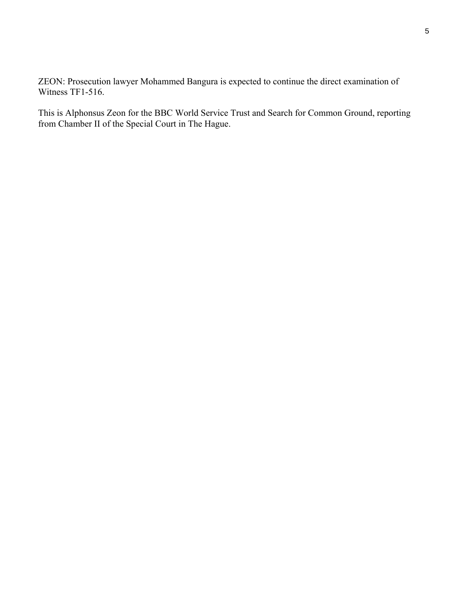ZEON: Prosecution lawyer Mohammed Bangura is expected to continue the direct examination of Witness TF1-516.

This is Alphonsus Zeon for the BBC World Service Trust and Search for Common Ground, reporting from Chamber II of the Special Court in The Hague.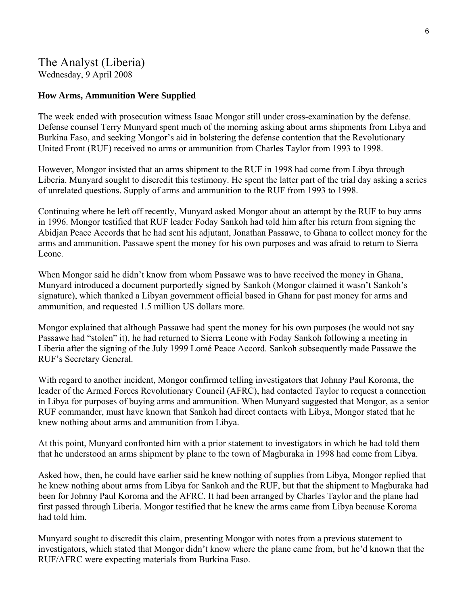## The Analyst (Liberia) Wednesday, 9 April 2008

#### **How Arms, Ammunition Were Supplied**

The week ended with prosecution witness Isaac Mongor still under cross-examination by the defense. Defense counsel Terry Munyard spent much of the morning asking about arms shipments from Libya and Burkina Faso, and seeking Mongor's aid in bolstering the defense contention that the Revolutionary United Front (RUF) received no arms or ammunition from Charles Taylor from 1993 to 1998.

However, Mongor insisted that an arms shipment to the RUF in 1998 had come from Libya through Liberia. Munyard sought to discredit this testimony. He spent the latter part of the trial day asking a series of unrelated questions. Supply of arms and ammunition to the RUF from 1993 to 1998.

Continuing where he left off recently, Munyard asked Mongor about an attempt by the RUF to buy arms in 1996. Mongor testified that RUF leader Foday Sankoh had told him after his return from signing the Abidjan Peace Accords that he had sent his adjutant, Jonathan Passawe, to Ghana to collect money for the arms and ammunition. Passawe spent the money for his own purposes and was afraid to return to Sierra Leone.

When Mongor said he didn't know from whom Passawe was to have received the money in Ghana, Munyard introduced a document purportedly signed by Sankoh (Mongor claimed it wasn't Sankoh's signature), which thanked a Libyan government official based in Ghana for past money for arms and ammunition, and requested 1.5 million US dollars more.

Mongor explained that although Passawe had spent the money for his own purposes (he would not say Passawe had "stolen" it), he had returned to Sierra Leone with Foday Sankoh following a meeting in Liberia after the signing of the July 1999 Lomé Peace Accord. Sankoh subsequently made Passawe the RUF's Secretary General.

With regard to another incident, Mongor confirmed telling investigators that Johnny Paul Koroma, the leader of the Armed Forces Revolutionary Council (AFRC), had contacted Taylor to request a connection in Libya for purposes of buying arms and ammunition. When Munyard suggested that Mongor, as a senior RUF commander, must have known that Sankoh had direct contacts with Libya, Mongor stated that he knew nothing about arms and ammunition from Libya.

At this point, Munyard confronted him with a prior statement to investigators in which he had told them that he understood an arms shipment by plane to the town of Magburaka in 1998 had come from Libya.

Asked how, then, he could have earlier said he knew nothing of supplies from Libya, Mongor replied that he knew nothing about arms from Libya for Sankoh and the RUF, but that the shipment to Magburaka had been for Johnny Paul Koroma and the AFRC. It had been arranged by Charles Taylor and the plane had first passed through Liberia. Mongor testified that he knew the arms came from Libya because Koroma had told him.

Munyard sought to discredit this claim, presenting Mongor with notes from a previous statement to investigators, which stated that Mongor didn't know where the plane came from, but he'd known that the RUF/AFRC were expecting materials from Burkina Faso.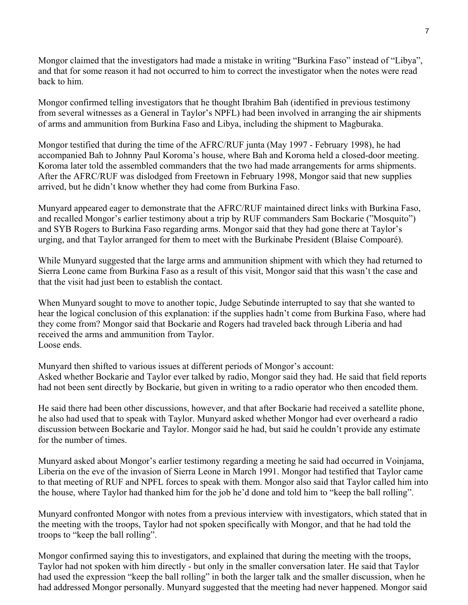Mongor claimed that the investigators had made a mistake in writing "Burkina Faso" instead of "Libya", and that for some reason it had not occurred to him to correct the investigator when the notes were read back to him.

Mongor confirmed telling investigators that he thought Ibrahim Bah (identified in previous testimony from several witnesses as a General in Taylor's NPFL) had been involved in arranging the air shipments of arms and ammunition from Burkina Faso and Libya, including the shipment to Magburaka.

Mongor testified that during the time of the AFRC/RUF junta (May 1997 - February 1998), he had accompanied Bah to Johnny Paul Koroma's house, where Bah and Koroma held a closed-door meeting. Koroma later told the assembled commanders that the two had made arrangements for arms shipments. After the AFRC/RUF was dislodged from Freetown in February 1998, Mongor said that new supplies arrived, but he didn't know whether they had come from Burkina Faso.

Munyard appeared eager to demonstrate that the AFRC/RUF maintained direct links with Burkina Faso, and recalled Mongor's earlier testimony about a trip by RUF commanders Sam Bockarie ("Mosquito") and SYB Rogers to Burkina Faso regarding arms. Mongor said that they had gone there at Taylor's urging, and that Taylor arranged for them to meet with the Burkinabe President (Blaise Compoaré).

While Munyard suggested that the large arms and ammunition shipment with which they had returned to Sierra Leone came from Burkina Faso as a result of this visit, Mongor said that this wasn't the case and that the visit had just been to establish the contact.

When Munyard sought to move to another topic, Judge Sebutinde interrupted to say that she wanted to hear the logical conclusion of this explanation: if the supplies hadn't come from Burkina Faso, where had they come from? Mongor said that Bockarie and Rogers had traveled back through Liberia and had received the arms and ammunition from Taylor. Loose ends.

Munyard then shifted to various issues at different periods of Mongor's account: Asked whether Bockarie and Taylor ever talked by radio, Mongor said they had. He said that field reports had not been sent directly by Bockarie, but given in writing to a radio operator who then encoded them.

He said there had been other discussions, however, and that after Bockarie had received a satellite phone, he also had used that to speak with Taylor. Munyard asked whether Mongor had ever overheard a radio discussion between Bockarie and Taylor. Mongor said he had, but said he couldn't provide any estimate for the number of times.

Munyard asked about Mongor's earlier testimony regarding a meeting he said had occurred in Voinjama, Liberia on the eve of the invasion of Sierra Leone in March 1991. Mongor had testified that Taylor came to that meeting of RUF and NPFL forces to speak with them. Mongor also said that Taylor called him into the house, where Taylor had thanked him for the job he'd done and told him to "keep the ball rolling".

Munyard confronted Mongor with notes from a previous interview with investigators, which stated that in the meeting with the troops, Taylor had not spoken specifically with Mongor, and that he had told the troops to "keep the ball rolling".

Mongor confirmed saying this to investigators, and explained that during the meeting with the troops, Taylor had not spoken with him directly - but only in the smaller conversation later. He said that Taylor had used the expression "keep the ball rolling" in both the larger talk and the smaller discussion, when he had addressed Mongor personally. Munyard suggested that the meeting had never happened. Mongor said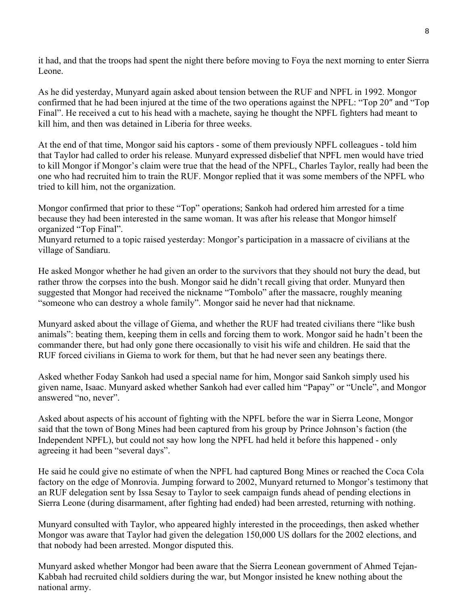it had, and that the troops had spent the night there before moving to Foya the next morning to enter Sierra Leone.

As he did yesterday, Munyard again asked about tension between the RUF and NPFL in 1992. Mongor confirmed that he had been injured at the time of the two operations against the NPFL: "Top 20″ and "Top Final". He received a cut to his head with a machete, saying he thought the NPFL fighters had meant to kill him, and then was detained in Liberia for three weeks.

At the end of that time, Mongor said his captors - some of them previously NPFL colleagues - told him that Taylor had called to order his release. Munyard expressed disbelief that NPFL men would have tried to kill Mongor if Mongor's claim were true that the head of the NPFL, Charles Taylor, really had been the one who had recruited him to train the RUF. Mongor replied that it was some members of the NPFL who tried to kill him, not the organization.

Mongor confirmed that prior to these "Top" operations; Sankoh had ordered him arrested for a time because they had been interested in the same woman. It was after his release that Mongor himself organized "Top Final".

Munyard returned to a topic raised yesterday: Mongor's participation in a massacre of civilians at the village of Sandiaru.

He asked Mongor whether he had given an order to the survivors that they should not bury the dead, but rather throw the corpses into the bush. Mongor said he didn't recall giving that order. Munyard then suggested that Mongor had received the nickname "Tombolo" after the massacre, roughly meaning "someone who can destroy a whole family". Mongor said he never had that nickname.

Munyard asked about the village of Giema, and whether the RUF had treated civilians there "like bush animals": beating them, keeping them in cells and forcing them to work. Mongor said he hadn't been the commander there, but had only gone there occasionally to visit his wife and children. He said that the RUF forced civilians in Giema to work for them, but that he had never seen any beatings there.

Asked whether Foday Sankoh had used a special name for him, Mongor said Sankoh simply used his given name, Isaac. Munyard asked whether Sankoh had ever called him "Papay" or "Uncle", and Mongor answered "no, never".

Asked about aspects of his account of fighting with the NPFL before the war in Sierra Leone, Mongor said that the town of Bong Mines had been captured from his group by Prince Johnson's faction (the Independent NPFL), but could not say how long the NPFL had held it before this happened - only agreeing it had been "several days".

He said he could give no estimate of when the NPFL had captured Bong Mines or reached the Coca Cola factory on the edge of Monrovia. Jumping forward to 2002, Munyard returned to Mongor's testimony that an RUF delegation sent by Issa Sesay to Taylor to seek campaign funds ahead of pending elections in Sierra Leone (during disarmament, after fighting had ended) had been arrested, returning with nothing.

Munyard consulted with Taylor, who appeared highly interested in the proceedings, then asked whether Mongor was aware that Taylor had given the delegation 150,000 US dollars for the 2002 elections, and that nobody had been arrested. Mongor disputed this.

Munyard asked whether Mongor had been aware that the Sierra Leonean government of Ahmed Tejan-Kabbah had recruited child soldiers during the war, but Mongor insisted he knew nothing about the national army.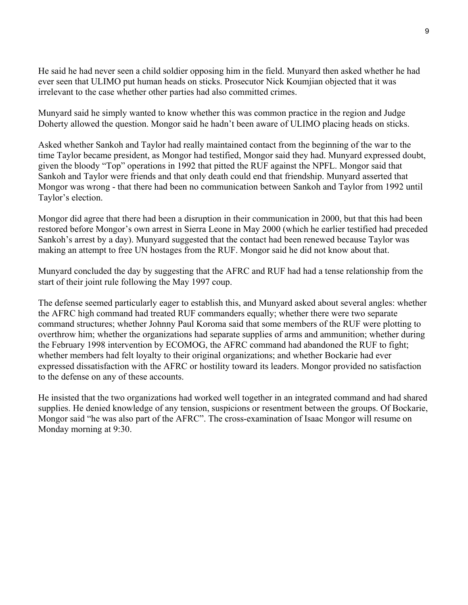He said he had never seen a child soldier opposing him in the field. Munyard then asked whether he had ever seen that ULIMO put human heads on sticks. Prosecutor Nick Koumjian objected that it was irrelevant to the case whether other parties had also committed crimes.

Munyard said he simply wanted to know whether this was common practice in the region and Judge Doherty allowed the question. Mongor said he hadn't been aware of ULIMO placing heads on sticks.

Asked whether Sankoh and Taylor had really maintained contact from the beginning of the war to the time Taylor became president, as Mongor had testified, Mongor said they had. Munyard expressed doubt, given the bloody "Top" operations in 1992 that pitted the RUF against the NPFL. Mongor said that Sankoh and Taylor were friends and that only death could end that friendship. Munyard asserted that Mongor was wrong - that there had been no communication between Sankoh and Taylor from 1992 until Taylor's election.

Mongor did agree that there had been a disruption in their communication in 2000, but that this had been restored before Mongor's own arrest in Sierra Leone in May 2000 (which he earlier testified had preceded Sankoh's arrest by a day). Munyard suggested that the contact had been renewed because Taylor was making an attempt to free UN hostages from the RUF. Mongor said he did not know about that.

Munyard concluded the day by suggesting that the AFRC and RUF had had a tense relationship from the start of their joint rule following the May 1997 coup.

The defense seemed particularly eager to establish this, and Munyard asked about several angles: whether the AFRC high command had treated RUF commanders equally; whether there were two separate command structures; whether Johnny Paul Koroma said that some members of the RUF were plotting to overthrow him; whether the organizations had separate supplies of arms and ammunition; whether during the February 1998 intervention by ECOMOG, the AFRC command had abandoned the RUF to fight; whether members had felt loyalty to their original organizations; and whether Bockarie had ever expressed dissatisfaction with the AFRC or hostility toward its leaders. Mongor provided no satisfaction to the defense on any of these accounts.

He insisted that the two organizations had worked well together in an integrated command and had shared supplies. He denied knowledge of any tension, suspicions or resentment between the groups. Of Bockarie, Mongor said "he was also part of the AFRC". The cross-examination of Isaac Mongor will resume on Monday morning at 9:30.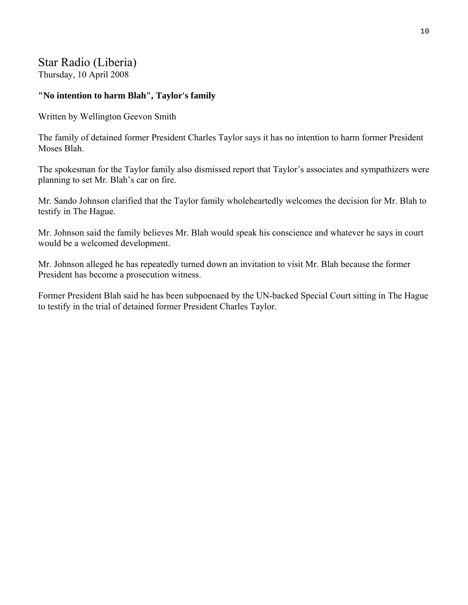# Star Radio (Liberia)

Thursday, 10 April 2008

## **"No intention to harm Blah", Taylor's family**

Written by Wellington Geevon Smith

The family of detained former President Charles Taylor says it has no intention to harm former President Moses Blah.

The spokesman for the Taylor family also dismissed report that Taylor's associates and sympathizers were planning to set Mr. Blah's car on fire.

Mr. Sando Johnson clarified that the Taylor family wholeheartedly welcomes the decision for Mr. Blah to testify in The Hague.

Mr. Johnson said the family believes Mr. Blah would speak his conscience and whatever he says in court would be a welcomed development.

Mr. Johnson alleged he has repeatedly turned down an invitation to visit Mr. Blah because the former President has become a prosecution witness.

Former President Blah said he has been subpoenaed by the UN-backed Special Court sitting in The Hague to testify in the trial of detained former President Charles Taylor.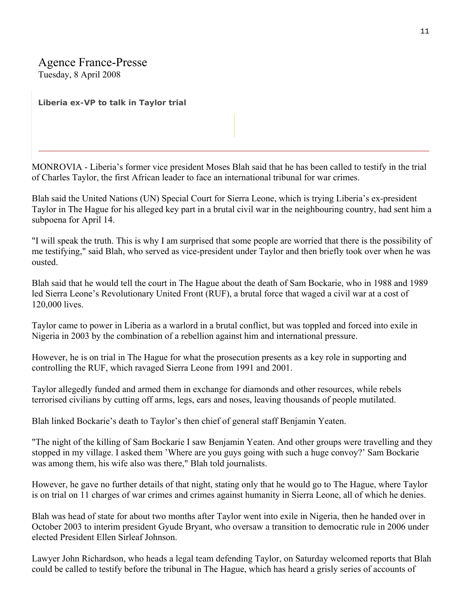# Agence France-Presse

Tuesday, 8 April 2008

**Liberia ex-VP to talk in Taylor trial** 

MONROVIA - Liberia's former vice president Moses Blah said that he has been called to testify in the trial of Charles Taylor, the first African leader to face an international tribunal for war crimes.

Blah said the United Nations (UN) Special Court for Sierra Leone, which is trying Liberia's ex-president Taylor in The Hague for his alleged key part in a brutal civil war in the neighbouring country, had sent him a subpoena for April 14.

"I will speak the truth. This is why I am surprised that some people are worried that there is the possibility of me testifying," said Blah, who served as vice-president under Taylor and then briefly took over when he was ousted.

Blah said that he would tell the court in The Hague about the death of Sam Bockarie, who in 1988 and 1989 led Sierra Leone's Revolutionary United Front (RUF), a brutal force that waged a civil war at a cost of 120,000 lives.

Taylor came to power in Liberia as a warlord in a brutal conflict, but was toppled and forced into exile in Nigeria in 2003 by the combination of a rebellion against him and international pressure.

However, he is on trial in The Hague for what the prosecution presents as a key role in supporting and controlling the RUF, which ravaged Sierra Leone from 1991 and 2001.

Taylor allegedly funded and armed them in exchange for diamonds and other resources, while rebels terrorised civilians by cutting off arms, legs, ears and noses, leaving thousands of people mutilated.

Blah linked Bockarie's death to Taylor's then chief of general staff Benjamin Yeaten.

"The night of the killing of Sam Bockarie I saw Benjamin Yeaten. And other groups were travelling and they stopped in my village. I asked them 'Where are you guys going with such a huge convoy?' Sam Bockarie was among them, his wife also was there," Blah told journalists.

However, he gave no further details of that night, stating only that he would go to The Hague, where Taylor is on trial on 11 charges of war crimes and crimes against humanity in Sierra Leone, all of which he denies.

Blah was head of state for about two months after Taylor went into exile in Nigeria, then he handed over in October 2003 to interim president Gyude Bryant, who oversaw a transition to democratic rule in 2006 under elected President Ellen Sirleaf Johnson.

Lawyer John Richardson, who heads a legal team defending Taylor, on Saturday welcomed reports that Blah could be called to testify before the tribunal in The Hague, which has heard a grisly series of accounts of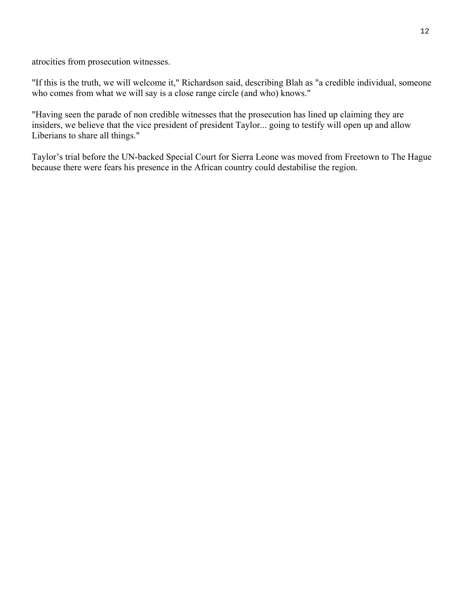atrocities from prosecution witnesses.

"If this is the truth, we will welcome it," Richardson said, describing Blah as "a credible individual, someone who comes from what we will say is a close range circle (and who) knows."

"Having seen the parade of non credible witnesses that the prosecution has lined up claiming they are insiders, we believe that the vice president of president Taylor... going to testify will open up and allow Liberians to share all things."

Taylor's trial before the UN-backed Special Court for Sierra Leone was moved from Freetown to The Hague because there were fears his presence in the African country could destabilise the region.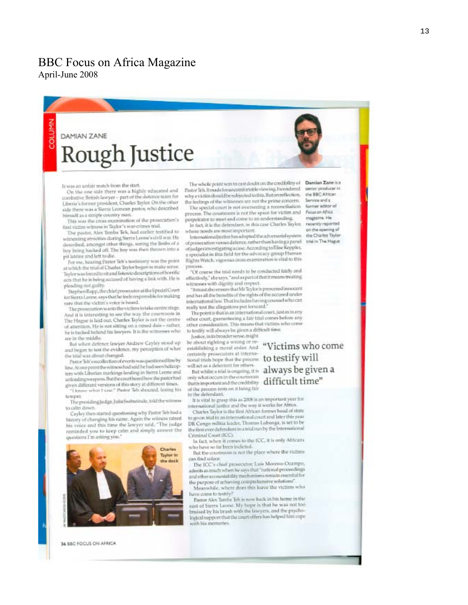## BBC Focus on Africa Magazine April-June 2008

# DAMIAN ZANE **Rough Justice**

It was an unfair match from the start.

On the one side there was a highly educated and combative British lawyer - part of the defence team for Liberia's former president, Charles Taylor. On the other side there was a Sierra Leonean pastor, who described himself as a simple country man.

This was the cross examination of the prosecution's first victim witness in Taylor's war-crimes trial.

The pastor, Alex Tamba Teh, had earlier testified to witnessing atrocities during Sterra Leone's civil was He described, amongst other things, seeing the limbs of a boy being hacked off. The boy was then thrown into a pit latrine and left to die.

For me, hearing Pastor Teh's testimony was the point at which the trial of Charles Taylor began to make sense. Taylor was forced to sit and listen to descriptions of horrific acts that he is being accused of having a link with. He is pleading not guilty

Stephen Rapp, the chief prosecutor at the Special Court for Sterra Leone, says that he feels responsible for making rure that the victim's voice is heard.

The prosecution wants the victims to take centre stage. And it is interesting to see the way the courtroom in The Hague is laid out. Charles Taylor is not the centre of attention. He is not sitting on a mised dais - rather, he is tucked behind his lawyers. It is the witnesses who are in the middle.

But when defence lawyer Andrew Cayley stood up and began to test the evidence, my perception of what the trial was about changed.

Pastor Teh's recollection of events was questioned lineby line. At one point the witness had said he had seen helicopters with Liberian markings landing in Sterra Leone and unloadingweapons. But the court heard have the pastor had given different versions of this story at different times.<br>"I know what I saw," Pastor Teb shouted, losing his

hemipes: The presiding judge, Julia Ssebutinde, told the witness

to calm down. Cayley then started questioning why Pastor Teh had a history of changing his name, Again the witness ralsed his voice and this time the lawyer said, "The judge reminded you to keep calm and simply answer the



36 BBC FOCUS ON AFRICA

The whole point was to cast doubt on the credibility of Pastor lich. It made for uncomfortable viewing. I wondered why a victim should be subjected to this. But on reflection, the feelings of the witnesses are not the prime concern.

The special court is not overseeing a reconciliation process. The courtroom is not the space for victim and perpetrator to meet and come to an understanding.

In fact, it is the defendant, in this case Charles Taylor, whose needs are most important.

letternationaljustice has adopted the adversarial system. of prosecution various defence, rather than having a panel of judges investigating a case. According to Elise Keppler, a specialist in this field for the advocacy group Human Rights Watch, vigorous cross examination is vital to this process.

"Of course the trial needs to be conducted fairly and effectively," she says, "and as part of that it means treating witnesses with dignity and respect.

"It must also ensure that Mr Taylor is presumed innocunt and has all the benefits of the rights of the accused under international law. That includes having counsel who can really test the allegations put forward."

The point is that in an international court, just as in any other court, guaranteeing a fair trial comes before any other consideration. This means that victims who come to testify will always be given a difficult time.

Justice, in its broader sense, might

be about righting a wrong or rebe about righting a wrong or re-<br>establishing a moral order. And "Victims who come certainly prosecutors at international trials hope that the process to testify will will net as a deterrent for others. But whilst a trial is ongoing, it is always be given a

only what occurs in the courtmoon that important and the credibility  $difficult\ time"$ of the process rests on it being fair to the defendant.

It is vital to grasp this as 2008 is an important year for international justice and the way it works for Africa.

Charles Taylor is the first African former head of state to go on trial in an international court and later this year. DR Congo militia leader, Thomas Lubanga, is set to be the first ever defendant in a trial run by the International Criminal Court (RCC).

In fact, when it comes to the ICC, it is only Africans who have so far been indicted.

But the courtroom is not the place where the victims can find solace.

The ICC's chief prosecutor, Luis Moreno-Deampo, admits as much when he says that "national proceedings and other accountability mechanisms nemain essential for the purpose of achieving comprehensive solutions"

Meanwhile, where does this leave the victims who have come to testify?

Pastor Akes Tamba Teh is now back in his home in the east of Sierra Leone. My hope is that he was not too bruised by his brush with the lawyers, and the psychological support that the court offers has helped him cope with his memories.

Damian Zane is a serior producer in the BBC African Service and a former editor al Focus on Africo magazine. He recently reported on the apaning of the Charles Taylor trial in The Hague

1 3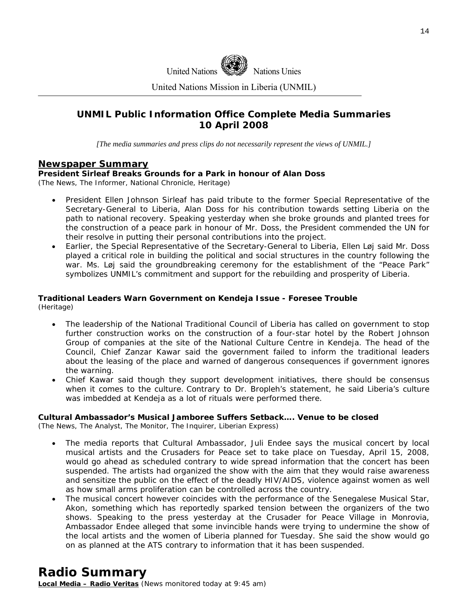

United Nations Mission in Liberia (UNMIL)

## **UNMIL Public Information Office Complete Media Summaries 10 April 2008**

*[The media summaries and press clips do not necessarily represent the views of UNMIL.]* 

#### **Newspaper Summary**

#### **President Sirleaf Breaks Grounds for a Park in honour of Alan Doss**

(The News, The Informer, National Chronicle, Heritage)

- President Ellen Johnson Sirleaf has paid tribute to the former Special Representative of the Secretary-General to Liberia, Alan Doss for his contribution towards setting Liberia on the path to national recovery. Speaking yesterday when she broke grounds and planted trees for the construction of a peace park in honour of Mr. Doss, the President commended the UN for their resolve in putting their personal contributions into the project.
- Earlier, the Special Representative of the Secretary-General to Liberia, Ellen Løj said Mr. Doss played a critical role in building the political and social structures in the country following the war. Ms. Løj said the groundbreaking ceremony for the establishment of the "Peace Park" symbolizes UNMIL's commitment and support for the rebuilding and prosperity of Liberia.

#### **Traditional Leaders Warn Government on Kendeja Issue - Foresee Trouble**  (Heritage)

- The leadership of the National Traditional Council of Liberia has called on government to stop further construction works on the construction of a four-star hotel by the Robert Johnson Group of companies at the site of the National Culture Centre in Kendeja. The head of the Council, Chief Zanzar Kawar said the government failed to inform the traditional leaders about the leasing of the place and warned of dangerous consequences if government ignores the warning.
- Chief Kawar said though they support development initiatives, there should be consensus when it comes to the culture. Contrary to Dr. Bropleh's statement, he said Liberia's culture was imbedded at Kendeja as a lot of rituals were performed there.

#### **Cultural Ambassador's Musical Jamboree Suffers Setback…. Venue to be closed**

(The News, The Analyst, The Monitor, The Inquirer, Liberian Express)

- The media reports that Cultural Ambassador, Juli Endee says the musical concert by local musical artists and the Crusaders for Peace set to take place on Tuesday, April 15, 2008, would go ahead as scheduled contrary to wide spread information that the concert has been suspended. The artists had organized the show with the aim that they would raise awareness and sensitize the public on the effect of the deadly HIV/AIDS, violence against women as well as how small arms proliferation can be controlled across the country.
- The musical concert however coincides with the performance of the Senegalese Musical Star, Akon, something which has reportedly sparked tension between the organizers of the two shows. Speaking to the press yesterday at the Crusader for Peace Village in Monrovia, Ambassador Endee alleged that some invincible hands were trying to undermine the show of the local artists and the women of Liberia planned for Tuesday. She said the show would go on as planned at the ATS contrary to information that it has been suspended.

## **Radio Summary**

**Local Media – Radio Veritas** *(News monitored today at 9:45 am)*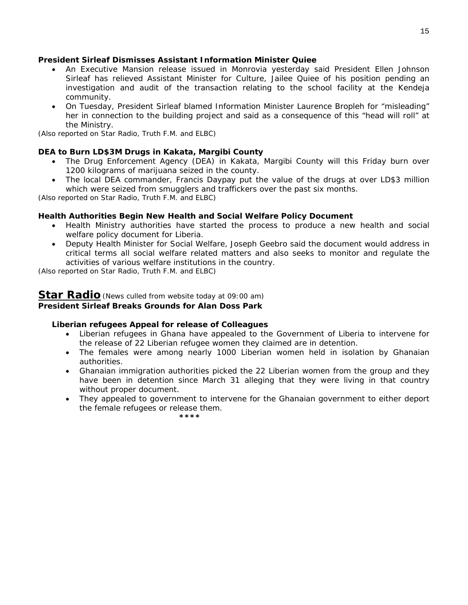#### **President Sirleaf Dismisses Assistant Information Minister Quiee**

- An Executive Mansion release issued in Monrovia yesterday said President Ellen Johnson Sirleaf has relieved Assistant Minister for Culture, Jailee Quiee of his position pending an investigation and audit of the transaction relating to the school facility at the Kendeja community.
- On Tuesday, President Sirleaf blamed Information Minister Laurence Bropleh for "misleading" her in connection to the building project and said as a consequence of this "head will roll" at the Ministry.

*(Also reported on Star Radio, Truth F.M. and ELBC)* 

### **DEA to Burn LD\$3M Drugs in Kakata, Margibi County**

- The Drug Enforcement Agency (DEA) in Kakata, Margibi County will this Friday burn over 1200 kilograms of marijuana seized in the county.
- The local DEA commander, Francis Daypay put the value of the drugs at over LD\$3 million which were seized from smugglers and traffickers over the past six months.

*(Also reported on Star Radio, Truth F.M. and ELBC)* 

#### **Health Authorities Begin New Health and Social Welfare Policy Document**

- Health Ministry authorities have started the process to produce a new health and social welfare policy document for Liberia.
- Deputy Health Minister for Social Welfare, Joseph Geebro said the document would address in critical terms all social welfare related matters and also seeks to monitor and regulate the activities of various welfare institutions in the country.

*(Also reported on Star Radio, Truth F.M. and ELBC)* 

 **\*\*\*\***

#### **Star Radio***(News culled from website today at 09:00 am)* **President Sirleaf Breaks Grounds for Alan Doss Park**

#### **Liberian refugees Appeal for release of Colleagues**

- Liberian refugees in Ghana have appealed to the Government of Liberia to intervene for the release of 22 Liberian refugee women they claimed are in detention.
- The females were among nearly 1000 Liberian women held in isolation by Ghanaian authorities.
- Ghanaian immigration authorities picked the 22 Liberian women from the group and they have been in detention since March 31 alleging that they were living in that country without proper document.
- They appealed to government to intervene for the Ghanaian government to either deport the female refugees or release them.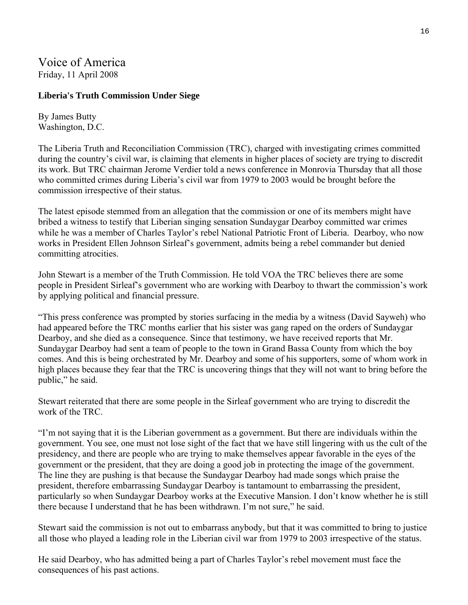Voice of America Friday, 11 April 2008

### **Liberia's Truth Commission Under Siege**

By James Butty Washington, D.C.

The Liberia Truth and Reconciliation Commission (TRC), charged with investigating crimes committed during the country's civil war, is claiming that elements in higher places of society are trying to discredit its work. But TRC chairman Jerome Verdier told a news conference in Monrovia Thursday that all those who committed crimes during Liberia's civil war from 1979 to 2003 would be brought before the commission irrespective of their status.

The latest episode stemmed from an allegation that the commission or one of its members might have bribed a witness to testify that Liberian singing sensation Sundaygar Dearboy committed war crimes while he was a member of Charles Taylor's rebel National Patriotic Front of Liberia. Dearboy, who now works in President Ellen Johnson Sirleaf's government, admits being a rebel commander but denied committing atrocities.

John Stewart is a member of the Truth Commission. He told VOA the TRC believes there are some people in President Sirleaf's government who are working with Dearboy to thwart the commission's work by applying political and financial pressure.

"This press conference was prompted by stories surfacing in the media by a witness (David Sayweh) who had appeared before the TRC months earlier that his sister was gang raped on the orders of Sundaygar Dearboy, and she died as a consequence. Since that testimony, we have received reports that Mr. Sundaygar Dearboy had sent a team of people to the town in Grand Bassa County from which the boy comes. And this is being orchestrated by Mr. Dearboy and some of his supporters, some of whom work in high places because they fear that the TRC is uncovering things that they will not want to bring before the public," he said.

Stewart reiterated that there are some people in the Sirleaf government who are trying to discredit the work of the TRC.

"I'm not saying that it is the Liberian government as a government. But there are individuals within the government. You see, one must not lose sight of the fact that we have still lingering with us the cult of the presidency, and there are people who are trying to make themselves appear favorable in the eyes of the government or the president, that they are doing a good job in protecting the image of the government. The line they are pushing is that because the Sundaygar Dearboy had made songs which praise the president, therefore embarrassing Sundaygar Dearboy is tantamount to embarrassing the president, particularly so when Sundaygar Dearboy works at the Executive Mansion. I don't know whether he is still there because I understand that he has been withdrawn. I'm not sure," he said.

Stewart said the commission is not out to embarrass anybody, but that it was committed to bring to justice all those who played a leading role in the Liberian civil war from 1979 to 2003 irrespective of the status.

He said Dearboy, who has admitted being a part of Charles Taylor's rebel movement must face the consequences of his past actions.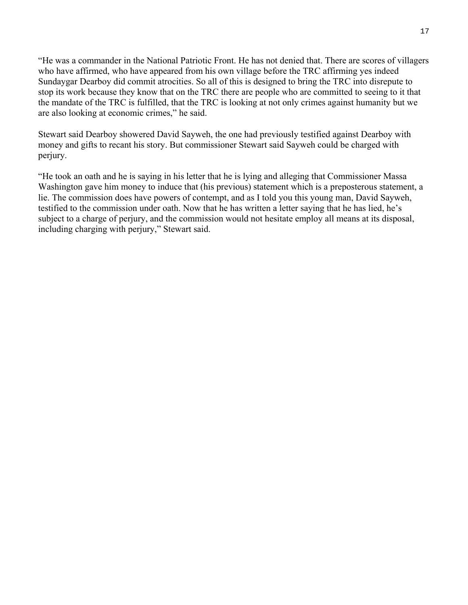"He was a commander in the National Patriotic Front. He has not denied that. There are scores of villagers who have affirmed, who have appeared from his own village before the TRC affirming yes indeed Sundaygar Dearboy did commit atrocities. So all of this is designed to bring the TRC into disrepute to stop its work because they know that on the TRC there are people who are committed to seeing to it that the mandate of the TRC is fulfilled, that the TRC is looking at not only crimes against humanity but we are also looking at economic crimes," he said.

Stewart said Dearboy showered David Sayweh, the one had previously testified against Dearboy with money and gifts to recant his story. But commissioner Stewart said Sayweh could be charged with perjury.

"He took an oath and he is saying in his letter that he is lying and alleging that Commissioner Massa Washington gave him money to induce that (his previous) statement which is a preposterous statement, a lie. The commission does have powers of contempt, and as I told you this young man, David Sayweh, testified to the commission under oath. Now that he has written a letter saying that he has lied, he's subject to a charge of perjury, and the commission would not hesitate employ all means at its disposal, including charging with perjury," Stewart said.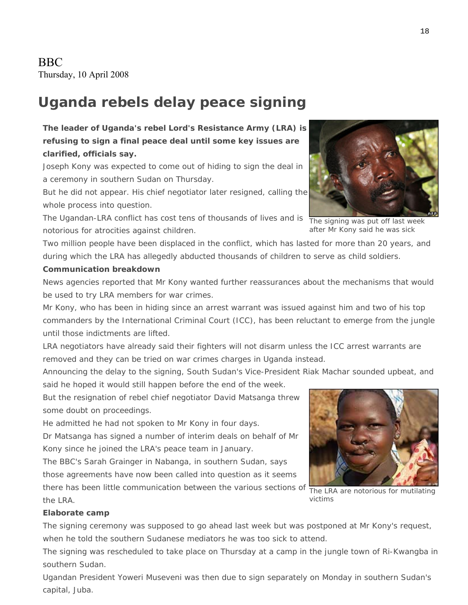# **Uganda rebels delay peace signing**

## **The leader of Uganda's rebel Lord's Resistance Army (LRA) is refusing to sign a final peace deal until some key issues are clarified, officials say.**

Joseph Kony was expected to come out of hiding to sign the deal in a ceremony in southern Sudan on Thursday.

But he did not appear. His chief negotiator later resigned, calling the whole process into question.

The Ugandan-LRA conflict has cost tens of thousands of lives and is notorious for atrocities against children.

Two million people have been displaced in the conflict, which has lasted for more than 20 years, and during which the LRA has allegedly abducted thousands of children to serve as child soldiers.

### **Communication breakdown**

News agencies reported that Mr Kony wanted further reassurances about the mechanisms that would be used to try LRA members for war crimes.

Mr Kony, who has been in hiding since an arrest warrant was issued against him and two of his top commanders by the International Criminal Court (ICC), has been reluctant to emerge from the jungle until those indictments are lifted.

LRA negotiators have already said their fighters will not disarm unless the ICC arrest warrants are removed and they can be tried on war crimes charges in Uganda instead.

Announcing the delay to the signing, South Sudan's Vice-President Riak Machar sounded upbeat, and said he hoped it would still happen before the end of the week.

But the resignation of rebel chief negotiator David Matsanga threw some doubt on proceedings.

He admitted he had not spoken to Mr Kony in four days.

Dr Matsanga has signed a number of interim deals on behalf of Mr Kony since he joined the LRA's peace team in January.

The BBC's Sarah Grainger in Nabanga, in southern Sudan, says those agreements have now been called into question as it seems there has been little communication between the various sections of the LRA.

### **Elaborate camp**

The signing ceremony was supposed to go ahead last week but was postponed at Mr Kony's request, when he told the southern Sudanese mediators he was too sick to attend.

The signing was rescheduled to take place on Thursday at a camp in the jungle town of Ri-Kwangba in southern Sudan.

Ugandan President Yoweri Museveni was then due to sign separately on Monday in southern Sudan's capital, Juba.

The signing was put off last week after Mr Kony said he was sick

The LRA are notorious for mutilating victims